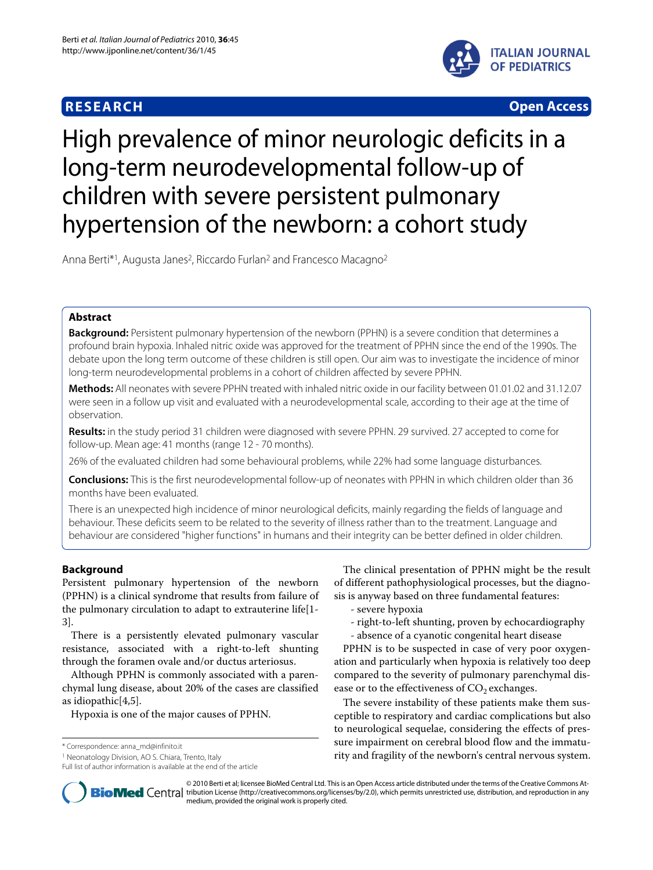

**RESEARCH Open Access**

# High prevalence of minor neurologic deficits in a long-term neurodevelopmental follow-up of children with severe persistent pulmonary hypertension of the newborn: a cohort study

Anna Berti\*<sup>1</sup>, Augusta Janes<sup>2</sup>, Riccardo Furlan<sup>2</sup> and Francesco Macagno<sup>2</sup>

# **Abstract**

**Background:** Persistent pulmonary hypertension of the newborn (PPHN) is a severe condition that determines a profound brain hypoxia. Inhaled nitric oxide was approved for the treatment of PPHN since the end of the 1990s. The debate upon the long term outcome of these children is still open. Our aim was to investigate the incidence of minor long-term neurodevelopmental problems in a cohort of children affected by severe PPHN.

**Methods:** All neonates with severe PPHN treated with inhaled nitric oxide in our facility between 01.01.02 and 31.12.07 were seen in a follow up visit and evaluated with a neurodevelopmental scale, according to their age at the time of observation.

**Results:** in the study period 31 children were diagnosed with severe PPHN. 29 survived. 27 accepted to come for follow-up. Mean age: 41 months (range 12 - 70 months).

26% of the evaluated children had some behavioural problems, while 22% had some language disturbances.

**Conclusions:** This is the first neurodevelopmental follow-up of neonates with PPHN in which children older than 36 months have been evaluated.

There is an unexpected high incidence of minor neurological deficits, mainly regarding the fields of language and behaviour. These deficits seem to be related to the severity of illness rather than to the treatment. Language and behaviour are considered "higher functions" in humans and their integrity can be better defined in older children.

# **Background**

Persistent pulmonary hypertension of the newborn (PPHN) is a clinical syndrome that results from failure of the pulmonary circulation to adapt to extrauterine life[[1-](#page-5-0) [3\]](#page-5-1).

There is a persistently elevated pulmonary vascular resistance, associated with a right-to-left shunting through the foramen ovale and/or ductus arteriosus.

Although PPHN is commonly associated with a parenchymal lung disease, about 20% of the cases are classified as idiopathic[[4](#page-6-0),[5\]](#page-6-1).

Hypoxia is one of the major causes of PPHN.

\* Correspondence: anna\_md@infinito.it

Full list of author information is available at the end of the article

The clinical presentation of PPHN might be the result of different pathophysiological processes, but the diagnosis is anyway based on three fundamental features:

- severe hypoxia
- right-to-left shunting, proven by echocardiography
- absence of a cyanotic congenital heart disease

PPHN is to be suspected in case of very poor oxygenation and particularly when hypoxia is relatively too deep compared to the severity of pulmonary parenchymal disease or to the effectiveness of  $CO<sub>2</sub>$  exchanges.

The severe instability of these patients make them susceptible to respiratory and cardiac complications but also to neurological sequelae, considering the effects of pressure impairment on cerebral blood flow and the immaturity and fragility of the newborn's central nervous system.



© 2010 Berti et al; licensee BioMed Central Ltd. This is an Open Access article distributed under the terms of the Creative Commons At-**Bio Med** Central tribution License (http://creativecommons.org/licenses/by/2.0), which permits unrestricted use, distribution, and reproduction in any medium, provided the original work is properly cited.

<sup>1</sup> Neonatology Division, AO S. Chiara, Trento, Italy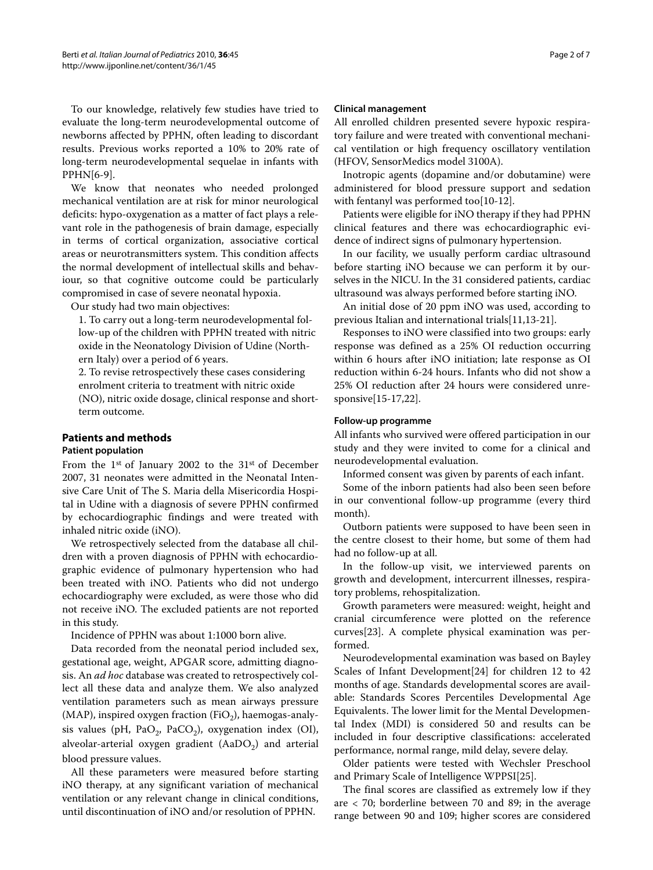To our knowledge, relatively few studies have tried to evaluate the long-term neurodevelopmental outcome of newborns affected by PPHN, often leading to discordant results. Previous works reported a 10% to 20% rate of long-term neurodevelopmental sequelae in infants with PPHN[\[6](#page-6-2)-[9\]](#page-6-3).

We know that neonates who needed prolonged mechanical ventilation are at risk for minor neurological deficits: hypo-oxygenation as a matter of fact plays a relevant role in the pathogenesis of brain damage, especially in terms of cortical organization, associative cortical areas or neurotransmitters system. This condition affects the normal development of intellectual skills and behaviour, so that cognitive outcome could be particularly compromised in case of severe neonatal hypoxia.

Our study had two main objectives:

1. To carry out a long-term neurodevelopmental follow-up of the children with PPHN treated with nitric oxide in the Neonatology Division of Udine (Northern Italy) over a period of 6 years.

2. To revise retrospectively these cases considering enrolment criteria to treatment with nitric oxide (NO), nitric oxide dosage, clinical response and shortterm outcome.

# **Patients and methods**

# **Patient population**

From the 1st of January 2002 to the 31st of December 2007, 31 neonates were admitted in the Neonatal Intensive Care Unit of The S. Maria della Misericordia Hospital in Udine with a diagnosis of severe PPHN confirmed by echocardiographic findings and were treated with inhaled nitric oxide (iNO).

We retrospectively selected from the database all children with a proven diagnosis of PPHN with echocardiographic evidence of pulmonary hypertension who had been treated with iNO. Patients who did not undergo echocardiography were excluded, as were those who did not receive iNO. The excluded patients are not reported in this study.

Incidence of PPHN was about 1:1000 born alive.

Data recorded from the neonatal period included sex, gestational age, weight, APGAR score, admitting diagnosis. An *ad hoc* database was created to retrospectively collect all these data and analyze them. We also analyzed ventilation parameters such as mean airways pressure (MAP), inspired oxygen fraction (FiO<sub>2</sub>), haemogas-analysis values (pH, PaO<sub>2</sub>, PaCO<sub>2</sub>), oxygenation index (OI), alveolar-arterial oxygen gradient  $(AaDO<sub>2</sub>)$  and arterial blood pressure values.

All these parameters were measured before starting iNO therapy, at any significant variation of mechanical ventilation or any relevant change in clinical conditions, until discontinuation of iNO and/or resolution of PPHN.

#### Page 2 of 7

# **Clinical management**

All enrolled children presented severe hypoxic respiratory failure and were treated with conventional mechanical ventilation or high frequency oscillatory ventilation (HFOV, SensorMedics model 3100A).

Inotropic agents (dopamine and/or dobutamine) were administered for blood pressure support and sedation with fentanyl was performed too[[10-](#page-6-4)[12](#page-6-5)].

Patients were eligible for iNO therapy if they had PPHN clinical features and there was echocardiographic evidence of indirect signs of pulmonary hypertension.

In our facility, we usually perform cardiac ultrasound before starting iNO because we can perform it by ourselves in the NICU. In the 31 considered patients, cardiac ultrasound was always performed before starting iNO.

An initial dose of 20 ppm iNO was used, according to previous Italian and international trials[[11,](#page-6-6)[13](#page-6-7)[-21](#page-6-8)].

Responses to iNO were classified into two groups: early response was defined as a 25% OI reduction occurring within 6 hours after iNO initiation; late response as OI reduction within 6-24 hours. Infants who did not show a 25% OI reduction after 24 hours were considered unresponsive[\[15-](#page-6-9)[17](#page-6-10),[22](#page-6-11)].

#### **Follow-up programme**

All infants who survived were offered participation in our study and they were invited to come for a clinical and neurodevelopmental evaluation.

Informed consent was given by parents of each infant.

Some of the inborn patients had also been seen before in our conventional follow-up programme (every third month).

Outborn patients were supposed to have been seen in the centre closest to their home, but some of them had had no follow-up at all.

In the follow-up visit, we interviewed parents on growth and development, intercurrent illnesses, respiratory problems, rehospitalization.

Growth parameters were measured: weight, height and cranial circumference were plotted on the reference curves[[23\]](#page-6-12). A complete physical examination was performed.

Neurodevelopmental examination was based on Bayley Scales of Infant Development[[24](#page-6-13)] for children 12 to 42 months of age. Standards developmental scores are available: Standards Scores Percentiles Developmental Age Equivalents. The lower limit for the Mental Developmental Index (MDI) is considered 50 and results can be included in four descriptive classifications: accelerated performance, normal range, mild delay, severe delay.

Older patients were tested with Wechsler Preschool and Primary Scale of Intelligence WPPSI[\[25\]](#page-6-14).

The final scores are classified as extremely low if they are < 70; borderline between 70 and 89; in the average range between 90 and 109; higher scores are considered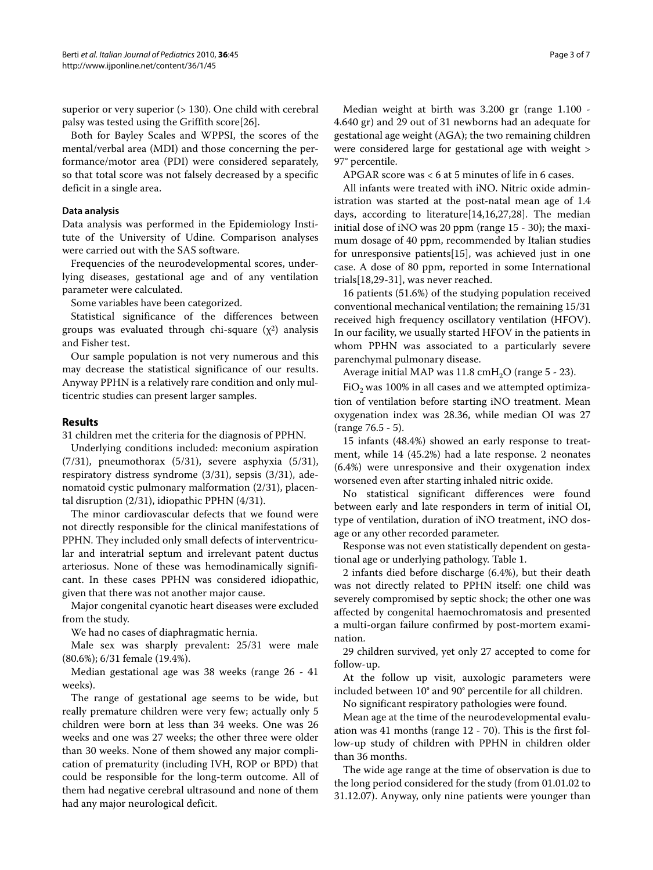superior or very superior (> 130). One child with cerebral palsy was tested using the Griffith score[[26\]](#page-6-15).

Both for Bayley Scales and WPPSI, the scores of the mental/verbal area (MDI) and those concerning the performance/motor area (PDI) were considered separately, so that total score was not falsely decreased by a specific deficit in a single area.

#### **Data analysis**

Data analysis was performed in the Epidemiology Institute of the University of Udine. Comparison analyses were carried out with the SAS software.

Frequencies of the neurodevelopmental scores, underlying diseases, gestational age and of any ventilation parameter were calculated.

Some variables have been categorized.

Statistical significance of the differences between groups was evaluated through chi-square  $(\chi^2)$  analysis and Fisher test.

Our sample population is not very numerous and this may decrease the statistical significance of our results. Anyway PPHN is a relatively rare condition and only multicentric studies can present larger samples.

#### **Results**

31 children met the criteria for the diagnosis of PPHN.

Underlying conditions included: meconium aspiration (7/31), pneumothorax (5/31), severe asphyxia (5/31), respiratory distress syndrome (3/31), sepsis (3/31), adenomatoid cystic pulmonary malformation (2/31), placental disruption (2/31), idiopathic PPHN (4/31).

The minor cardiovascular defects that we found were not directly responsible for the clinical manifestations of PPHN. They included only small defects of interventricular and interatrial septum and irrelevant patent ductus arteriosus. None of these was hemodinamically significant. In these cases PPHN was considered idiopathic, given that there was not another major cause.

Major congenital cyanotic heart diseases were excluded from the study.

We had no cases of diaphragmatic hernia.

Male sex was sharply prevalent: 25/31 were male (80.6%); 6/31 female (19.4%).

Median gestational age was 38 weeks (range 26 - 41 weeks).

The range of gestational age seems to be wide, but really premature children were very few; actually only 5 children were born at less than 34 weeks. One was 26 weeks and one was 27 weeks; the other three were older than 30 weeks. None of them showed any major complication of prematurity (including IVH, ROP or BPD) that could be responsible for the long-term outcome. All of them had negative cerebral ultrasound and none of them had any major neurological deficit.

Median weight at birth was 3.200 gr (range 1.100 - 4.640 gr) and 29 out of 31 newborns had an adequate for gestational age weight (AGA); the two remaining children were considered large for gestational age with weight > 97° percentile.

APGAR score was < 6 at 5 minutes of life in 6 cases.

All infants were treated with iNO. Nitric oxide administration was started at the post-natal mean age of 1.4 days, according to literature[[14,](#page-6-16)[16,](#page-6-17)[27,](#page-6-18)[28\]](#page-6-19). The median initial dose of iNO was 20 ppm (range 15 - 30); the maximum dosage of 40 ppm, recommended by Italian studies for unresponsive patients[\[15](#page-6-9)], was achieved just in one case. A dose of 80 ppm, reported in some International trials[[18](#page-6-20),[29](#page-6-21)[-31\]](#page-6-22), was never reached.

16 patients (51.6%) of the studying population received conventional mechanical ventilation; the remaining 15/31 received high frequency oscillatory ventilation (HFOV). In our facility, we usually started HFOV in the patients in whom PPHN was associated to a particularly severe parenchymal pulmonary disease.

Average initial MAP was  $11.8 \text{ cm}$ H<sub>2</sub>O (range 5 - 23).

 $FiO<sub>2</sub>$  was 100% in all cases and we attempted optimization of ventilation before starting iNO treatment. Mean oxygenation index was 28.36, while median OI was 27 (range 76.5 - 5).

15 infants (48.4%) showed an early response to treatment, while 14 (45.2%) had a late response. 2 neonates (6.4%) were unresponsive and their oxygenation index worsened even after starting inhaled nitric oxide.

No statistical significant differences were found between early and late responders in term of initial OI, type of ventilation, duration of iNO treatment, iNO dosage or any other recorded parameter.

Response was not even statistically dependent on gestational age or underlying pathology. Table 1.

2 infants died before discharge (6.4%), but their death was not directly related to PPHN itself: one child was severely compromised by septic shock; the other one was affected by congenital haemochromatosis and presented a multi-organ failure confirmed by post-mortem examination.

29 children survived, yet only 27 accepted to come for follow-up.

At the follow up visit, auxologic parameters were included between 10° and 90° percentile for all children.

No significant respiratory pathologies were found.

Mean age at the time of the neurodevelopmental evaluation was 41 months (range 12 - 70). This is the first follow-up study of children with PPHN in children older than 36 months.

The wide age range at the time of observation is due to the long period considered for the study (from 01.01.02 to 31.12.07). Anyway, only nine patients were younger than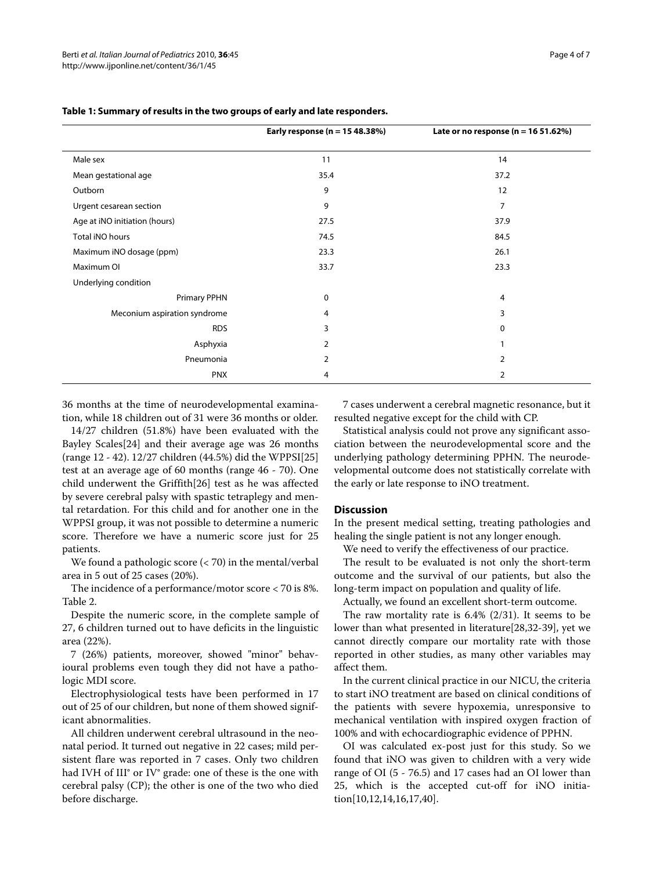|                               | Early response (n = 15 48.38%) | Late or no response ( $n = 1651.62\%)$ |
|-------------------------------|--------------------------------|----------------------------------------|
| Male sex                      | 11<br>14                       |                                        |
| Mean gestational age          | 35.4                           | 37.2                                   |
| Outborn                       | 9                              | 12                                     |
| Urgent cesarean section       | 9                              | 7                                      |
| Age at iNO initiation (hours) | 27.5                           | 37.9                                   |
| Total iNO hours               | 74.5                           | 84.5                                   |
| Maximum iNO dosage (ppm)      | 23.3                           | 26.1                                   |
| Maximum OI                    | 33.7                           | 23.3                                   |
| Underlying condition          |                                |                                        |
| <b>Primary PPHN</b>           | 0                              | 4                                      |
| Meconium aspiration syndrome  | 4                              | 3                                      |
| <b>RDS</b>                    | 3                              | 0                                      |
| Asphyxia                      | 2                              |                                        |
| Pneumonia                     | 2                              | 2                                      |
| <b>PNX</b>                    | 4                              | $\overline{2}$                         |

# **Table 1: Summary of results in the two groups of early and late responders.**

36 months at the time of neurodevelopmental examination, while 18 children out of 31 were 36 months or older.

14/27 children (51.8%) have been evaluated with the Bayley Scales[\[24\]](#page-6-13) and their average age was 26 months (range 12 - 42). 12/27 children (44.5%) did the WPPSI[[25](#page-6-14)] test at an average age of 60 months (range 46 - 70). One child underwent the Griffith[\[26\]](#page-6-15) test as he was affected by severe cerebral palsy with spastic tetraplegy and mental retardation. For this child and for another one in the WPPSI group, it was not possible to determine a numeric score. Therefore we have a numeric score just for 25 patients.

We found a pathologic score  $(< 70)$  in the mental/verbal area in 5 out of 25 cases (20%).

The incidence of a performance/motor score < 70 is 8%. Table 2.

Despite the numeric score, in the complete sample of 27, 6 children turned out to have deficits in the linguistic area (22%).

7 (26%) patients, moreover, showed "minor" behavioural problems even tough they did not have a pathologic MDI score.

Electrophysiological tests have been performed in 17 out of 25 of our children, but none of them showed significant abnormalities.

All children underwent cerebral ultrasound in the neonatal period. It turned out negative in 22 cases; mild persistent flare was reported in 7 cases. Only two children had IVH of III° or IV° grade: one of these is the one with cerebral palsy (CP); the other is one of the two who died before discharge.

7 cases underwent a cerebral magnetic resonance, but it resulted negative except for the child with CP.

Statistical analysis could not prove any significant association between the neurodevelopmental score and the underlying pathology determining PPHN. The neurodevelopmental outcome does not statistically correlate with the early or late response to iNO treatment.

#### **Discussion**

In the present medical setting, treating pathologies and healing the single patient is not any longer enough.

We need to verify the effectiveness of our practice.

The result to be evaluated is not only the short-term outcome and the survival of our patients, but also the long-term impact on population and quality of life.

Actually, we found an excellent short-term outcome.

The raw mortality rate is 6.4% (2/31). It seems to be lower than what presented in literature[[28,](#page-6-19)[32-](#page-6-23)[39](#page-6-24)], yet we cannot directly compare our mortality rate with those reported in other studies, as many other variables may affect them.

In the current clinical practice in our NICU, the criteria to start iNO treatment are based on clinical conditions of the patients with severe hypoxemia, unresponsive to mechanical ventilation with inspired oxygen fraction of 100% and with echocardiographic evidence of PPHN.

OI was calculated ex-post just for this study. So we found that iNO was given to children with a very wide range of OI (5 - 76.5) and 17 cases had an OI lower than 25, which is the accepted cut-off for iNO initiation[\[10](#page-6-4)[,12](#page-6-5),[14](#page-6-16),[16](#page-6-17),[17](#page-6-10),[40\]](#page-6-25).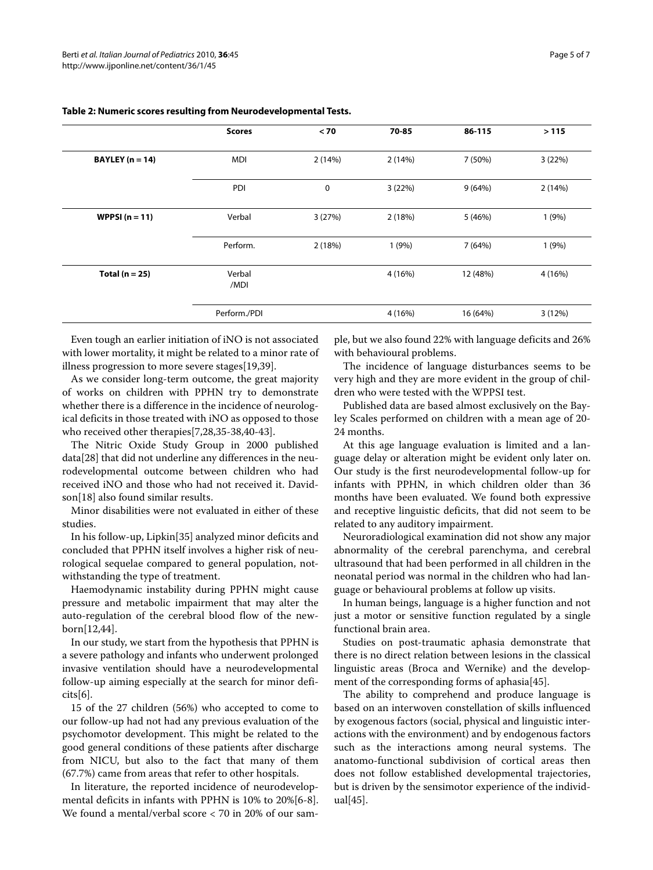|                     | <b>Scores</b>  | < 70   | 70-85   | 86-115   | >115    |
|---------------------|----------------|--------|---------|----------|---------|
| BAYLEY ( $n = 14$ ) | <b>MDI</b>     | 2(14%) | 2(14%)  | 7 (50%)  | 3(22%)  |
|                     | PDI            | 0      | 3(22%)  | 9(64%)   | 2(14%)  |
| WPPSI $(n = 11)$    | Verbal         | 3(27%) | 2(18%)  | 5 (46%)  | 1(9%)   |
|                     | Perform.       | 2(18%) | 1(9%)   | 7 (64%)  | 1(9%)   |
| Total ( $n = 25$ )  | Verbal<br>/MDI |        | 4 (16%) | 12 (48%) | 4 (16%) |
|                     | Perform./PDI   |        | 4 (16%) | 16 (64%) | 3(12%)  |

# **Table 2: Numeric scores resulting from Neurodevelopmental Tests.**

Even tough an earlier initiation of iNO is not associated with lower mortality, it might be related to a minor rate of illness progression to more severe stages[[19,](#page-6-26)[39\]](#page-6-24).

As we consider long-term outcome, the great majority of works on children with PPHN try to demonstrate whether there is a difference in the incidence of neurological deficits in those treated with iNO as opposed to those who received other therapies[[7,](#page-6-27)[28,](#page-6-19)[35](#page-6-28)[-38](#page-6-29)[,40](#page-6-25)-[43\]](#page-6-30).

The Nitric Oxide Study Group in 2000 published data[\[28](#page-6-19)] that did not underline any differences in the neurodevelopmental outcome between children who had received iNO and those who had not received it. Davidson[\[18](#page-6-20)] also found similar results.

Minor disabilities were not evaluated in either of these studies.

In his follow-up, Lipkin[\[35](#page-6-28)] analyzed minor deficits and concluded that PPHN itself involves a higher risk of neurological sequelae compared to general population, notwithstanding the type of treatment.

Haemodynamic instability during PPHN might cause pressure and metabolic impairment that may alter the auto-regulation of the cerebral blood flow of the newborn[[12](#page-6-5),[44](#page-6-31)].

In our study, we start from the hypothesis that PPHN is a severe pathology and infants who underwent prolonged invasive ventilation should have a neurodevelopmental follow-up aiming especially at the search for minor deficits[\[6](#page-6-2)].

15 of the 27 children (56%) who accepted to come to our follow-up had not had any previous evaluation of the psychomotor development. This might be related to the good general conditions of these patients after discharge from NICU, but also to the fact that many of them (67.7%) came from areas that refer to other hospitals.

In literature, the reported incidence of neurodevelopmental deficits in infants with PPHN is 10% to 20%[[6-](#page-6-2)[8](#page-6-32)]. We found a mental/verbal score < 70 in 20% of our sam-

ple, but we also found 22% with language deficits and 26% with behavioural problems.

The incidence of language disturbances seems to be very high and they are more evident in the group of children who were tested with the WPPSI test.

Published data are based almost exclusively on the Bayley Scales performed on children with a mean age of 20- 24 months.

At this age language evaluation is limited and a language delay or alteration might be evident only later on. Our study is the first neurodevelopmental follow-up for infants with PPHN, in which children older than 36 months have been evaluated. We found both expressive and receptive linguistic deficits, that did not seem to be related to any auditory impairment.

Neuroradiological examination did not show any major abnormality of the cerebral parenchyma, and cerebral ultrasound that had been performed in all children in the neonatal period was normal in the children who had language or behavioural problems at follow up visits.

In human beings, language is a higher function and not just a motor or sensitive function regulated by a single functional brain area.

Studies on post-traumatic aphasia demonstrate that there is no direct relation between lesions in the classical linguistic areas (Broca and Wernike) and the development of the corresponding forms of aphasia[[45\]](#page-6-33).

The ability to comprehend and produce language is based on an interwoven constellation of skills influenced by exogenous factors (social, physical and linguistic interactions with the environment) and by endogenous factors such as the interactions among neural systems. The anatomo-functional subdivision of cortical areas then does not follow established developmental trajectories, but is driven by the sensimotor experience of the individual[\[45](#page-6-33)].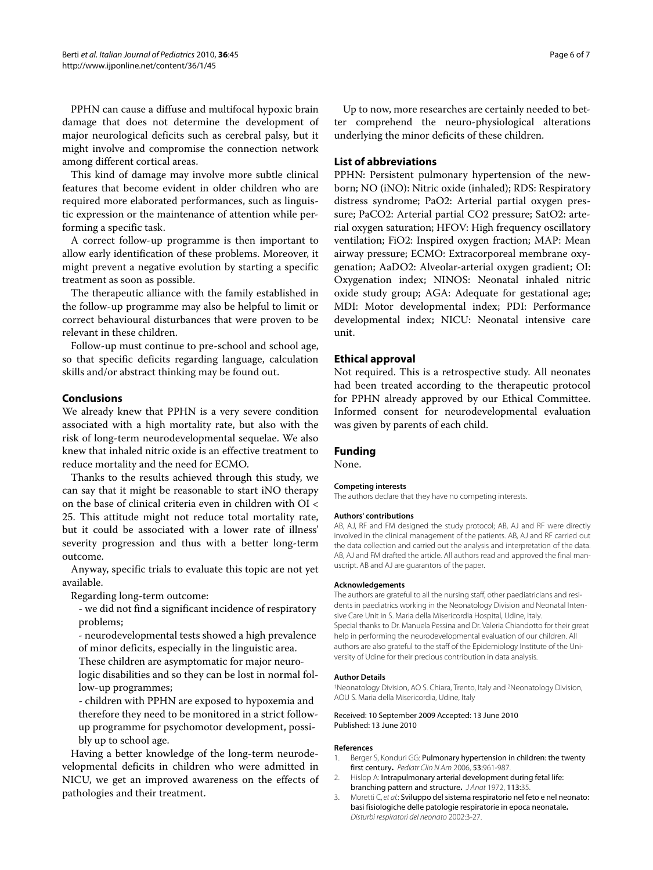PPHN can cause a diffuse and multifocal hypoxic brain damage that does not determine the development of major neurological deficits such as cerebral palsy, but it might involve and compromise the connection network among different cortical areas.

This kind of damage may involve more subtle clinical features that become evident in older children who are required more elaborated performances, such as linguistic expression or the maintenance of attention while performing a specific task.

A correct follow-up programme is then important to allow early identification of these problems. Moreover, it might prevent a negative evolution by starting a specific treatment as soon as possible.

The therapeutic alliance with the family established in the follow-up programme may also be helpful to limit or correct behavioural disturbances that were proven to be relevant in these children.

Follow-up must continue to pre-school and school age, so that specific deficits regarding language, calculation skills and/or abstract thinking may be found out.

# **Conclusions**

We already knew that PPHN is a very severe condition associated with a high mortality rate, but also with the risk of long-term neurodevelopmental sequelae. We also knew that inhaled nitric oxide is an effective treatment to reduce mortality and the need for ECMO.

Thanks to the results achieved through this study, we can say that it might be reasonable to start iNO therapy on the base of clinical criteria even in children with OI < 25. This attitude might not reduce total mortality rate, but it could be associated with a lower rate of illness' severity progression and thus with a better long-term outcome.

Anyway, specific trials to evaluate this topic are not yet available.

Regarding long-term outcome:

- we did not find a significant incidence of respiratory problems;

- neurodevelopmental tests showed a high prevalence of minor deficits, especially in the linguistic area.

These children are asymptomatic for major neuro-

logic disabilities and so they can be lost in normal follow-up programmes;

- children with PPHN are exposed to hypoxemia and therefore they need to be monitored in a strict followup programme for psychomotor development, possibly up to school age.

Having a better knowledge of the long-term neurodevelopmental deficits in children who were admitted in NICU, we get an improved awareness on the effects of pathologies and their treatment.

Up to now, more researches are certainly needed to better comprehend the neuro-physiological alterations underlying the minor deficits of these children.

# **List of abbreviations**

PPHN: Persistent pulmonary hypertension of the newborn; NO (iNO): Nitric oxide (inhaled); RDS: Respiratory distress syndrome; PaO2: Arterial partial oxygen pressure; PaCO2: Arterial partial CO2 pressure; SatO2: arterial oxygen saturation; HFOV: High frequency oscillatory ventilation; FiO2: Inspired oxygen fraction; MAP: Mean airway pressure; ECMO: Extracorporeal membrane oxygenation; AaDO2: Alveolar-arterial oxygen gradient; OI: Oxygenation index; NINOS: Neonatal inhaled nitric oxide study group; AGA: Adequate for gestational age; MDI: Motor developmental index; PDI: Performance developmental index; NICU: Neonatal intensive care unit.

# **Ethical approval**

Not required. This is a retrospective study. All neonates had been treated according to the therapeutic protocol for PPHN already approved by our Ethical Committee. Informed consent for neurodevelopmental evaluation was given by parents of each child.

#### **Funding**

None.

#### **Competing interests**

The authors declare that they have no competing interests.

#### **Authors' contributions**

AB, AJ, RF and FM designed the study protocol; AB, AJ and RF were directly involved in the clinical management of the patients. AB, AJ and RF carried out the data collection and carried out the analysis and interpretation of the data. AB, AJ and FM drafted the article. All authors read and approved the final manuscript. AB and AJ are guarantors of the paper.

#### **Acknowledgements**

The authors are grateful to all the nursing staff, other paediatricians and residents in paediatrics working in the Neonatology Division and Neonatal Intensive Care Unit in S. Maria della Misericordia Hospital, Udine, Italy. Special thanks to Dr. Manuela Pessina and Dr. Valeria Chiandotto for their great help in performing the neurodevelopmental evaluation of our children. All authors are also grateful to the staff of the Epidemiology Institute of the University of Udine for their precious contribution in data analysis.

#### **Author Details**

1Neonatology Division, AO S. Chiara, Trento, Italy and 2Neonatology Division, AOU S. Maria della Misericordia, Udine, Italy

Received: 10 September 2009 Accepted: 13 June 2010 Published: 13 June 2010

#### **References**

- <span id="page-5-0"></span>1. Berger S, Konduri GG: Pulmonary hypertension in children: the twenty first century**.** Pediatr Clin N Am 2006, 53:961-987.
- 2. Hislop A: Intrapulmonary arterial development during fetal life: branching pattern and structure**.** J Anat 1972, 113:35.
- <span id="page-5-1"></span>Moretti C, et al.: Sviluppo del sistema respiratorio nel feto e nel neonato: basi fisiologiche delle patologie respiratorie in epoca neonatale**.** Disturbi respiratori del neonato 2002:3-27.